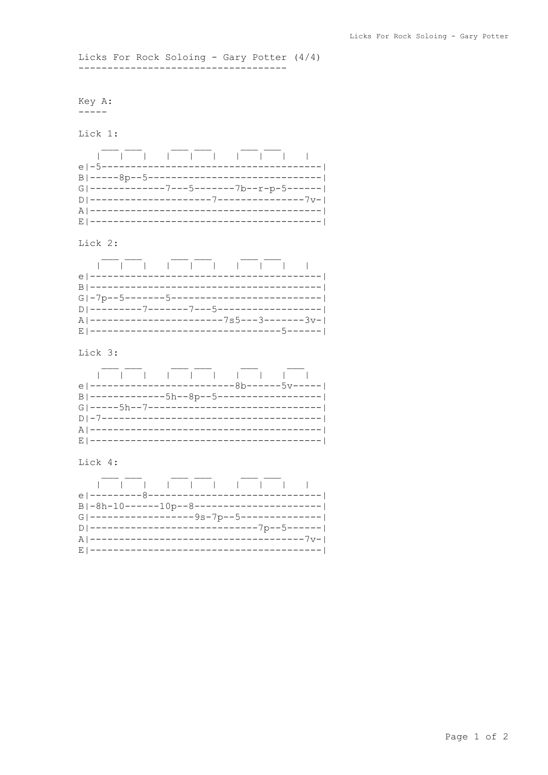Licks For Rock Soloing - Gary Potter (4/4) -------------------------------------

Key A:  $\begin{tabular}{cc} - & - & - \\ - & - & - \\ \hline \end{tabular}$ 

Lick 1:



## Lick 2:

| $G -7p--5-----5-----1---1---1---1---1---1$    |  |  |  |  |
|-----------------------------------------------|--|--|--|--|
|                                               |  |  |  |  |
| A   -----------------------7s5---3--------3v- |  |  |  |  |
|                                               |  |  |  |  |

Lick 3:

|  |  |  | e  ------------------------8b------5v----- |  |  |
|--|--|--|--------------------------------------------|--|--|
|  |  |  |                                            |  |  |
|  |  |  |                                            |  |  |
|  |  |  |                                            |  |  |
|  |  |  |                                            |  |  |
|  |  |  |                                            |  |  |

## Lick 4: